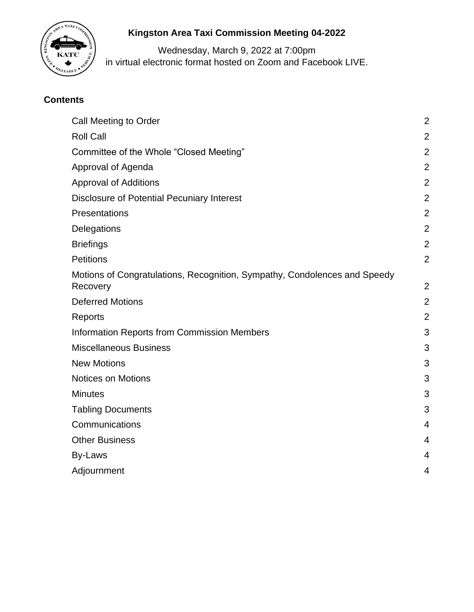

# **Kingston Area Taxi Commission Meeting 04-2022**

Wednesday, March 9, 2022 at 7:00pm in virtual electronic format hosted on Zoom and Facebook LIVE.

## **Contents**

| <b>Call Meeting to Order</b>                                                          | $\overline{2}$ |
|---------------------------------------------------------------------------------------|----------------|
| <b>Roll Call</b>                                                                      | $\overline{2}$ |
| Committee of the Whole "Closed Meeting"                                               | $\overline{2}$ |
| Approval of Agenda                                                                    | $\overline{2}$ |
| <b>Approval of Additions</b>                                                          | $\overline{2}$ |
| <b>Disclosure of Potential Pecuniary Interest</b>                                     | $\overline{2}$ |
| Presentations                                                                         | $\overline{2}$ |
| Delegations                                                                           | $\overline{2}$ |
| <b>Briefings</b>                                                                      | $\overline{2}$ |
| <b>Petitions</b>                                                                      | $\overline{2}$ |
| Motions of Congratulations, Recognition, Sympathy, Condolences and Speedy<br>Recovery | $\overline{2}$ |
| <b>Deferred Motions</b>                                                               | $\overline{2}$ |
| Reports                                                                               | $\overline{2}$ |
| <b>Information Reports from Commission Members</b>                                    | 3              |
| <b>Miscellaneous Business</b>                                                         | 3              |
| <b>New Motions</b>                                                                    | 3              |
| <b>Notices on Motions</b>                                                             | 3              |
| <b>Minutes</b>                                                                        | 3              |
| <b>Tabling Documents</b>                                                              | 3              |
| Communications                                                                        | 4              |
| <b>Other Business</b>                                                                 | 4              |
| By-Laws                                                                               | 4              |
| Adjournment                                                                           | 4              |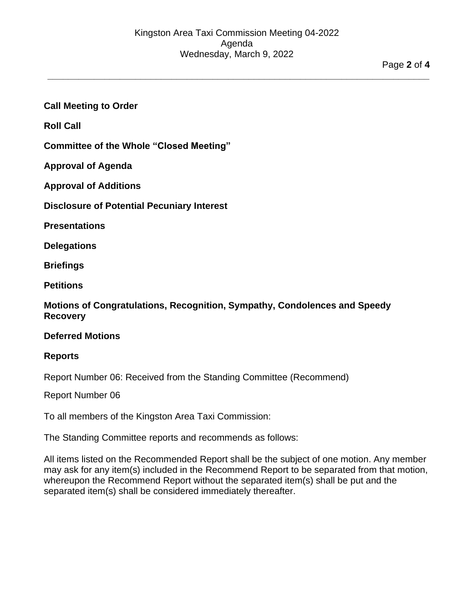**\_\_\_\_\_\_\_\_\_\_\_\_\_\_\_\_\_\_\_\_\_\_\_\_\_\_\_\_\_\_\_\_\_\_\_\_\_\_\_\_\_\_\_\_\_\_\_\_\_\_\_\_\_\_\_\_\_\_\_\_\_\_\_\_\_\_\_\_\_\_\_\_\_\_**

#### <span id="page-1-0"></span>**Call Meeting to Order**

<span id="page-1-1"></span>**Roll Call**

<span id="page-1-3"></span><span id="page-1-2"></span>**Committee of the Whole "Closed Meeting"**

<span id="page-1-4"></span>**Approval of Agenda**

<span id="page-1-5"></span>**Approval of Additions**

<span id="page-1-6"></span>**Disclosure of Potential Pecuniary Interest**

<span id="page-1-7"></span>**Presentations**

<span id="page-1-8"></span>**Delegations**

<span id="page-1-9"></span>**Briefings**

**Petitions**

<span id="page-1-10"></span>**Motions of Congratulations, Recognition, Sympathy, Condolences and Speedy Recovery**

#### <span id="page-1-12"></span><span id="page-1-11"></span>**Deferred Motions**

#### **Reports**

Report Number 06: Received from the Standing Committee (Recommend)

Report Number 06

To all members of the Kingston Area Taxi Commission:

The Standing Committee reports and recommends as follows:

All items listed on the Recommended Report shall be the subject of one motion. Any member may ask for any item(s) included in the Recommend Report to be separated from that motion, whereupon the Recommend Report without the separated item(s) shall be put and the separated item(s) shall be considered immediately thereafter.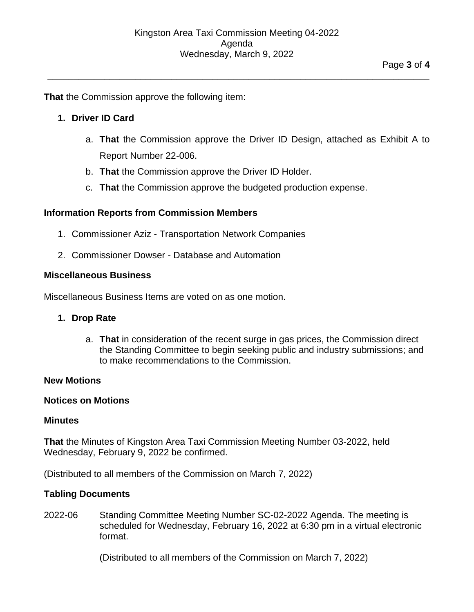**\_\_\_\_\_\_\_\_\_\_\_\_\_\_\_\_\_\_\_\_\_\_\_\_\_\_\_\_\_\_\_\_\_\_\_\_\_\_\_\_\_\_\_\_\_\_\_\_\_\_\_\_\_\_\_\_\_\_\_\_\_\_\_\_\_\_\_\_\_\_\_\_\_\_**

**That** the Commission approve the following item:

#### **1. Driver ID Card**

- a. **That** the Commission approve the Driver ID Design, attached as Exhibit A to Report Number 22-006.
- b. **That** the Commission approve the Driver ID Holder.
- c. **That** the Commission approve the budgeted production expense.

#### <span id="page-2-0"></span>**Information Reports from Commission Members**

- 1. Commissioner Aziz Transportation Network Companies
- 2. Commissioner Dowser Database and Automation

#### <span id="page-2-1"></span>**Miscellaneous Business**

Miscellaneous Business Items are voted on as one motion.

#### **1. Drop Rate**

a. **That** in consideration of the recent surge in gas prices, the Commission direct the Standing Committee to begin seeking public and industry submissions; and to make recommendations to the Commission.

#### <span id="page-2-2"></span>**New Motions**

#### <span id="page-2-3"></span>**Notices on Motions**

#### <span id="page-2-4"></span>**Minutes**

**That** the Minutes of Kingston Area Taxi Commission Meeting Number 03-2022, held Wednesday, February 9, 2022 be confirmed.

<span id="page-2-5"></span>(Distributed to all members of the Commission on March 7, 2022)

#### **Tabling Documents**

2022-06 Standing Committee Meeting Number SC-02-2022 Agenda. The meeting is scheduled for Wednesday, February 16, 2022 at 6:30 pm in a virtual electronic format.

(Distributed to all members of the Commission on March 7, 2022)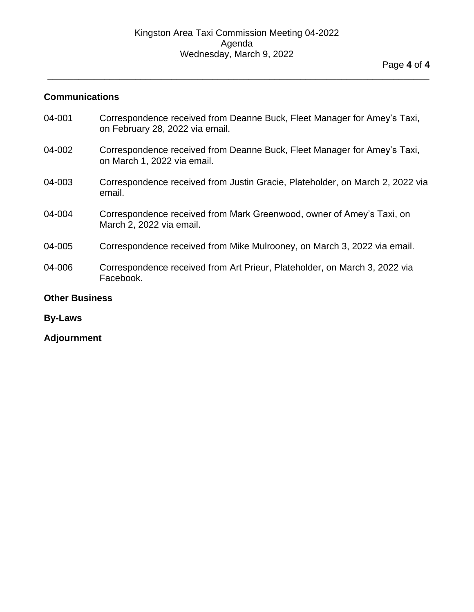**\_\_\_\_\_\_\_\_\_\_\_\_\_\_\_\_\_\_\_\_\_\_\_\_\_\_\_\_\_\_\_\_\_\_\_\_\_\_\_\_\_\_\_\_\_\_\_\_\_\_\_\_\_\_\_\_\_\_\_\_\_\_\_\_\_\_\_\_\_\_\_\_\_\_**

#### <span id="page-3-0"></span>**Communications**

04-001 Correspondence received from Deanne Buck, Fleet Manager for Amey's Taxi, on February 28, 2022 via email. 04-002 Correspondence received from Deanne Buck, Fleet Manager for Amey's Taxi, on March 1, 2022 via email. 04-003 Correspondence received from Justin Gracie, Plateholder, on March 2, 2022 via email. 04-004 Correspondence received from Mark Greenwood, owner of Amey's Taxi, on March 2, 2022 via email. 04-005 Correspondence received from Mike Mulrooney, on March 3, 2022 via email. 04-006 Correspondence received from Art Prieur, Plateholder, on March 3, 2022 via Facebook. **Other Business**

## <span id="page-3-2"></span><span id="page-3-1"></span>**By-Laws**

<span id="page-3-3"></span>**Adjournment**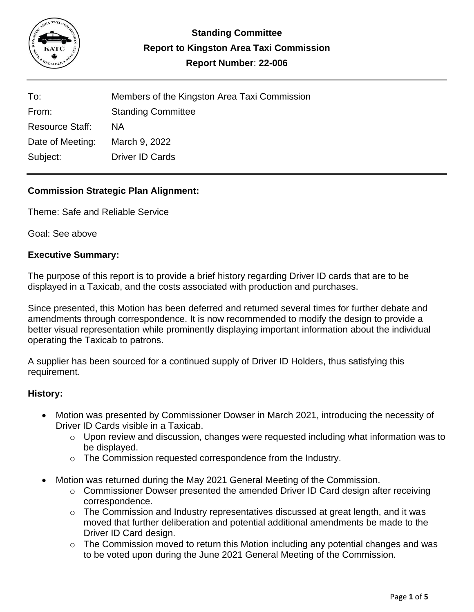

| To:                    | Members of the Kingston Area Taxi Commission |
|------------------------|----------------------------------------------|
| From:                  | <b>Standing Committee</b>                    |
| <b>Resource Staff:</b> | <b>NA</b>                                    |
| Date of Meeting:       | March 9, 2022                                |
| Subject:               | Driver ID Cards                              |

## **Commission Strategic Plan Alignment:**

Theme: Safe and Reliable Service

Goal: See above

#### **Executive Summary:**

The purpose of this report is to provide a brief history regarding Driver ID cards that are to be displayed in a Taxicab, and the costs associated with production and purchases.

Since presented, this Motion has been deferred and returned several times for further debate and amendments through correspondence. It is now recommended to modify the design to provide a better visual representation while prominently displaying important information about the individual operating the Taxicab to patrons.

A supplier has been sourced for a continued supply of Driver ID Holders, thus satisfying this requirement.

#### **History:**

- Motion was presented by Commissioner Dowser in March 2021, introducing the necessity of Driver ID Cards visible in a Taxicab.
	- o Upon review and discussion, changes were requested including what information was to be displayed.
	- o The Commission requested correspondence from the Industry.
- Motion was returned during the May 2021 General Meeting of the Commission.
	- $\circ$  Commissioner Dowser presented the amended Driver ID Card design after receiving correspondence.
	- $\circ$  The Commission and Industry representatives discussed at great length, and it was moved that further deliberation and potential additional amendments be made to the Driver ID Card design.
	- o The Commission moved to return this Motion including any potential changes and was to be voted upon during the June 2021 General Meeting of the Commission.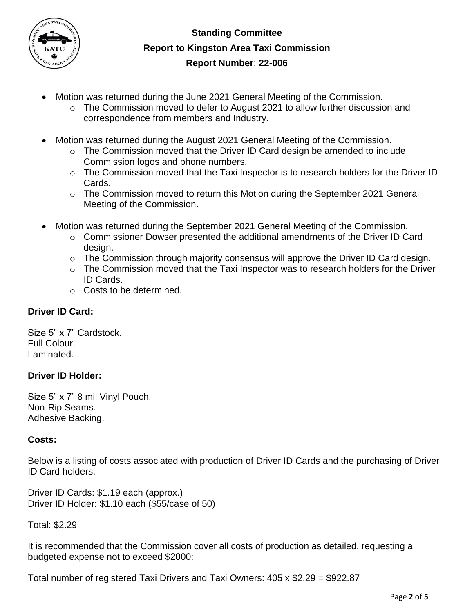

- Motion was returned during the June 2021 General Meeting of the Commission.
	- $\circ$  The Commission moved to defer to August 2021 to allow further discussion and correspondence from members and Industry.
- Motion was returned during the August 2021 General Meeting of the Commission.
	- o The Commission moved that the Driver ID Card design be amended to include Commission logos and phone numbers.
	- o The Commission moved that the Taxi Inspector is to research holders for the Driver ID Cards.
	- o The Commission moved to return this Motion during the September 2021 General Meeting of the Commission.
- Motion was returned during the September 2021 General Meeting of the Commission.
	- $\circ$  Commissioner Dowser presented the additional amendments of the Driver ID Card design.
	- o The Commission through majority consensus will approve the Driver ID Card design.
	- $\circ$  The Commission moved that the Taxi Inspector was to research holders for the Driver ID Cards.
	- o Costs to be determined.

## **Driver ID Card:**

Size 5" x 7" Cardstock. Full Colour. Laminated.

## **Driver ID Holder:**

Size 5" x 7" 8 mil Vinyl Pouch. Non-Rip Seams. Adhesive Backing.

## **Costs:**

Below is a listing of costs associated with production of Driver ID Cards and the purchasing of Driver ID Card holders.

Driver ID Cards: \$1.19 each (approx.) Driver ID Holder: \$1.10 each (\$55/case of 50)

Total: \$2.29

It is recommended that the Commission cover all costs of production as detailed, requesting a budgeted expense not to exceed \$2000:

Total number of registered Taxi Drivers and Taxi Owners: 405 x \$2.29 = \$922.87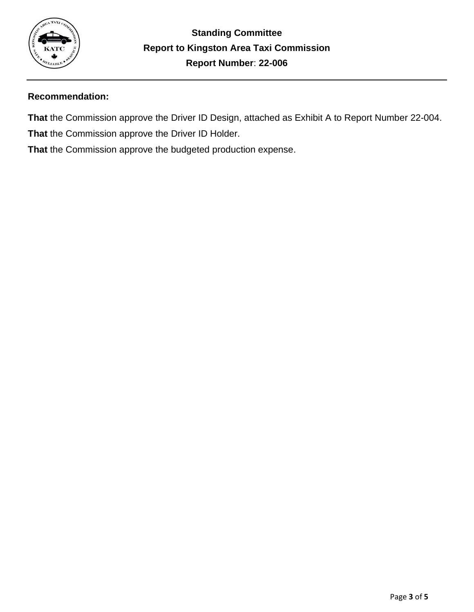

## **Recommendation:**

**That** the Commission approve the Driver ID Design, attached as Exhibit A to Report Number 22-004. **That** the Commission approve the Driver ID Holder.

**That** the Commission approve the budgeted production expense.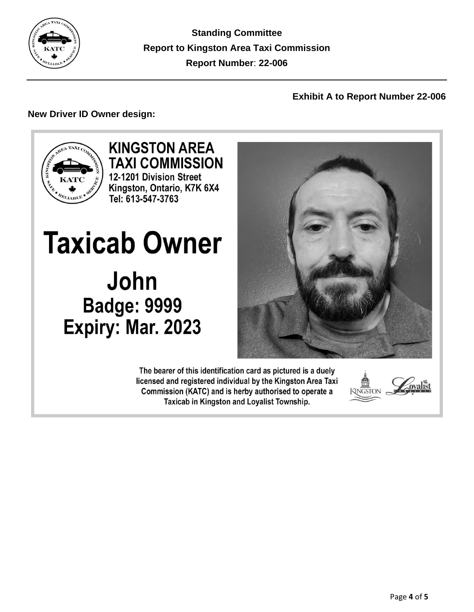

**Standing Committee Report to Kingston Area Taxi Commission Report Number**: **22-006**

## **Exhibit A to Report Number 22-006**

## **New Driver ID Owner design:**



**KINGSTON AREA TAXI COMMISSION** 12-1201 Division Street Kingston, Ontario, K7K 6X4 Tel: 613-547-3763

**Taxicab Owner** John **Badge: 9999** Expiry: Mar. 2023

> The bearer of this identification card as pictured is a duely licensed and registered individual by the Kingston Area Taxi Commission (KATC) and is herby authorised to operate a Taxicab in Kingston and Loyalist Township.